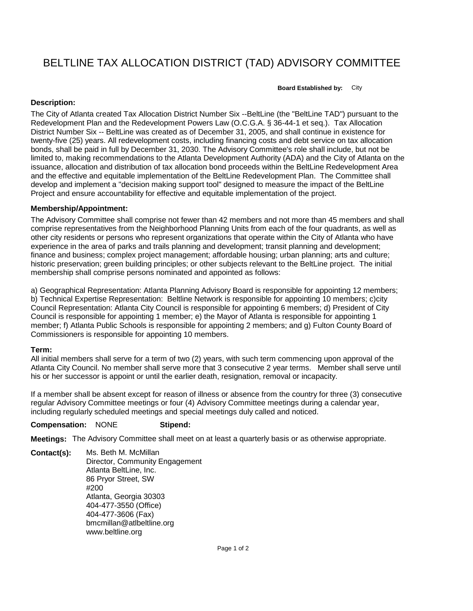# BELTLINE TAX ALLOCATION DISTRICT (TAD) ADVISORY COMMITTEE

**Board Established by:** City

## **Description:**

The City of Atlanta created Tax Allocation District Number Six --BeltLine (the "BeltLine TAD") pursuant to the Redevelopment Plan and the Redevelopment Powers Law (O.C.G.A. § 36-44-1 et seq.). Tax Allocation District Number Six -- BeltLine was created as of December 31, 2005, and shall continue in existence for twenty-five (25) years. All redevelopment costs, including financing costs and debt service on tax allocation bonds, shall be paid in full by December 31, 2030. The Advisory Committee's role shall include, but not be limited to, making recommendations to the Atlanta Development Authority (ADA) and the City of Atlanta on the issuance, allocation and distribution of tax allocation bond proceeds within the BeltLine Redevelopment Area and the effective and equitable implementation of the BeltLine Redevelopment Plan. The Committee shall develop and implement a "decision making support tool" designed to measure the impact of the BeltLine Project and ensure accountability for effective and equitable implementation of the project.

### **Membership/Appointment:**

The Advisory Committee shall comprise not fewer than 42 members and not more than 45 members and shall comprise representatives from the Neighborhood Planning Units from each of the four quadrants, as well as other city residents or persons who represent organizations that operate within the City of Atlanta who have experience in the area of parks and trails planning and development; transit planning and development; finance and business; complex project management; affordable housing; urban planning; arts and culture; historic preservation; green building principles; or other subjects relevant to the BeltLine project. The initial membership shall comprise persons nominated and appointed as follows:

a) Geographical Representation: Atlanta Planning Advisory Board is responsible for appointing 12 members; b) Technical Expertise Representation: Beltline Network is responsible for appointing 10 members; c)city Council Representation: Atlanta City Council is responsible for appointing 6 members; d) President of City Council is responsible for appointing 1 member; e) the Mayor of Atlanta is responsible for appointing 1 member; f) Atlanta Public Schools is responsible for appointing 2 members; and g) Fulton County Board of Commissioners is responsible for appointing 10 members.

#### **Term:**

All initial members shall serve for a term of two (2) years, with such term commencing upon approval of the Atlanta City Council. No member shall serve more that 3 consecutive 2 year terms. Member shall serve until his or her successor is appoint or until the earlier death, resignation, removal or incapacity.

If a member shall be absent except for reason of illness or absence from the country for three (3) consecutive regular Advisory Committee meetings or four (4) Advisory Committee meetings during a calendar year, including regularly scheduled meetings and special meetings duly called and noticed.

#### **Compensation:** NONE **Stipend:**

**Meetings:** The Advisory Committee shall meet on at least a quarterly basis or as otherwise appropriate.

**Contact(s):** Ms. Beth M. McMillan Director, Community Engagement Atlanta BeltLine, Inc. 86 Pryor Street, SW #200 Atlanta, Georgia 30303 404-477-3550 (Office) 404-477-3606 (Fax) bmcmillan@atlbeltline.org www.beltline.org